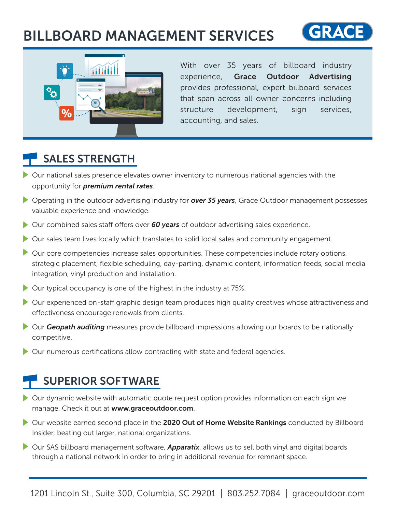# BILLBOARD MANAGEMENT SERVICES





With over 35 years of billboard industry experience, Grace Outdoor Advertising provides professional, expert billboard services that span across all owner concerns including structure development, sign services, accounting, and sales.

### SALES STRENGTH

- Our national sales presence elevates owner inventory to numerous national agencies with the opportunity for *premium rental rates*.
- Operating in the outdoor advertising industry for *over 35 years*, Grace Outdoor management possesses valuable experience and knowledge.
- Our combined sales staff offers over **60 years** of outdoor advertising sales experience.
- Our sales team lives locally which translates to solid local sales and community engagement.
- Our core competencies increase sales opportunities. These competencies include rotary options, strategic placement, flexible scheduling, day-parting, dynamic content, information feeds, social media integration, vinyl production and installation.
- Our typical occupancy is one of the highest in the industry at 75%.
- Our experienced on-staff graphic design team produces high quality creatives whose attractiveness and effectiveness encourage renewals from clients.
- **Our Geopath auditing** measures provide billboard impressions allowing our boards to be nationally competitive.
- Our numerous certifications allow contracting with state and federal agencies.

#### SUPERIOR SOFTWARE

- Our dynamic website with automatic quote request option provides information on each sign we manage. Check it out at www.graceoutdoor.com.
- Our website earned second place in the 2020 Out of Home Website Rankings conducted by Billboard Insider, beating out larger, national organizations.
- Our SAS billboard management software, *Apparatix*, allows us to sell both vinyl and digital boards through a national network in order to bring in additional revenue for remnant space.